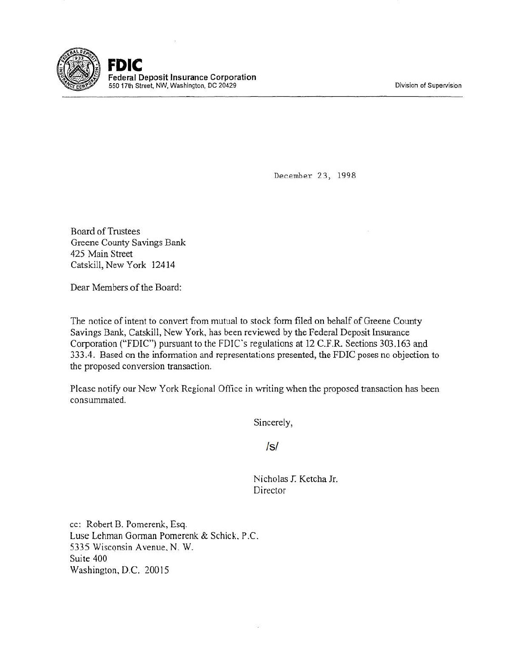Division of Supervision



December 23, 1998

Board of Trustees Greene County Savings Bank 425 Main Street Catskill, New York 12414

Dear Members of the Board:

The notice of intent to convert from mutual to stock form filed on behalf of Greene County Savings Bank, Catskill, New York, has been reviewed by the Federal Deposit Insurance Corporation ("FDIC") pursuant to the FDIC's regulations at 12 C.F.R. Sections 303.163 and 333.4. Based on the information and representations presented, the FDIC poses no objection to the proposed conversion transaction.

Please notify our New York Regional Office in writing when the proposed transaction has been consummated.

Sincerely,

Is/

Nicholas *T.* Ketcha Jr. Director

cc: Robert B. Pomerenk, Esq. Luse Lehman Gorman Pomerenk & Schick, P.C. 5335 Wisconsin Avenue. N. W. Suite 400 Washington, D.C. 20015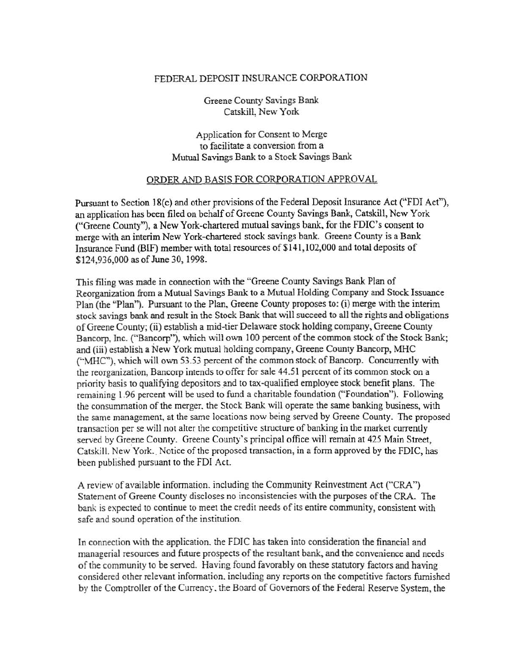## FEDERAL DEPOSIT INSURANCE CORPORATION

Greene County Savings Bank Catskill, New York

Application for Consent to Merge to facilitate a conversion from a Mutual Savings Bank to a Stock Savings Bank

## ORDER AND BASIS FOR CORPORATION APPROVAL

Pursuant to Section 18(c) and other provisions of the Federal Deposit Insurance Act ("FDI Act"), an application has been filed on behalf of Greene County Savings Bank, Catskill, New York ("Greene County"), a New York-chartered mutual savings bank, for the FDIC's consent to merge with an interim New York-chartered stock savings bank. Greene County is a Bank Insurance Fund (BIF) member with total resources of \$141,102,000 and total deposits of \$124,936,000 as of June 30, 1998.

This filing was made in connection with the "Greene County Savings Bank Plan of Reorganization from a Mutual Savings Bank to a Mutual Holding Company and Stock Issuance Plan (the "Plan''). Pursuant to the Plan, Greene County proposes to: (i) merge with the interim stock savings bank and result in the Stock Bank that will succeed to all the rights and obligations of Greene County; (ii) establish a mid-tier Delaware stock holding company, Greene County Bancorp, Inc. ("Bancorp"), which will own 100 percent of the common stock of the Stock Bank; and (iii) establish a New York mutual holding company, Greene County Bancorp, MHC ("MHC"), which will own 53.53 percent of the common stock of Bancorp. Concurrently with the reorganization, Bancorp intends to offer for sale 44.51 percent of its common stock on a priority basis to qualifying depositors and to tax-qualified employee stock benefit plans. The remaining 1.96 percent will be used to fund a charitable foundation ("Foundation"). Following the consummation of the merger. the Stock. Bank will operate the same banking business, with the same management, at the same locations now being served by Greene County. The proposed transaction per se will not alter the competitive structure of banking in the market currently served by Greene County. Greene County's principal office will remain at 425 Main Street, Catskill. New York. Notice of the proposed transaction, in a form approved by the FDIC, has been published pursuant to the FDI Act.

A review of available information. including the Community Reinvestment Act ("CRA") Statement of Greene County discloses no inconsistencies with the purposes of the CRA. The bank is expected to continue to meet the credit needs of its entire community, consistent with safe and sound operation of the institution.

In connection with the application, the FDIC has taken into consideration the financial and managerial resources and future prospects of the resultant bank, and the convenience and needs of the community to be served. Having found favorably on these statutory factors and having considered other relevant information. including any reports on the competitive factors furnished by the Comptroller of the Currency, the Board of Governors of the Federal Reserve System, the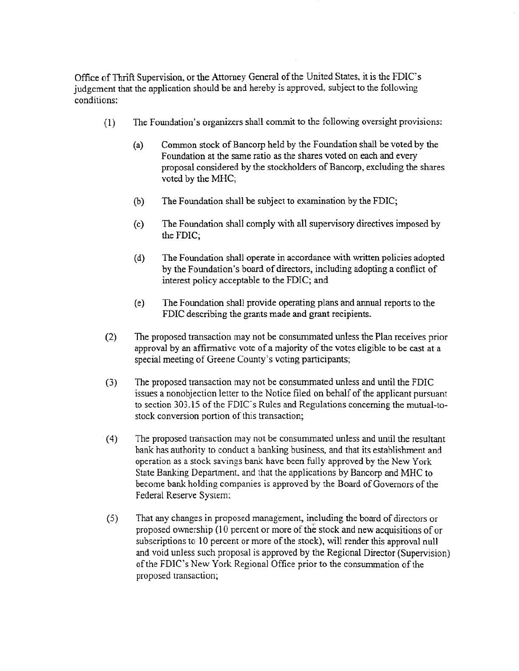Office of Thrift Supervision, or the Attorney General of the United States, it is the FDIC's judgement that the application should be and hereby is approved, subject to the following conditions:

- (1) The Foundation's organizers shall commit to the following oversight provisions:
	- (a) Common stock of Bancorp held by the Foundation shall be voted by the Foundation at the same ratio as the shares voted on each and every proposal considered by the stockholders of Bancorp, excluding the shares voted by the MHC;
	- (b) The Foundation shall be subject to examination by the FDIC;
	- (c) The Foundation shall comply with all supervisory directives imposed by the FDIC;
	- (d) The Foundation shall operate in accordance with written policies adopted by the Foundation's board of directors, inCluding adopting a conflict of interest policy acceptable to the FDIC; and
	- (e) The Foundation shall provide operating plans and annual reports to the FDIC describing the grants made and grant recipients.
- (2) The proposed transaction may not be consummated unless the Plan receives prior approval by an affirmative vote of a majority of the votes eligible to be cast at a special meeting of Greene County's voting participants;
- (3) The proposed transaction may not be consummated unless and until the FDIC issues a nonobjection letter to the Notice filed on behalf of the applicant pursuant to section 303.15 of the FDIC's Rules and Regulations concerning the mutual-tostock conversion portion of this transaction;
- (4) The proposed transaction may not be consummated unless and until the resultant bank has authority to conduct a banking business, and that its establishment and operation as a stock savings bank have been fully approved by the New York State Banking Department. and that the applications by Bancorp and MHC to become bank holding companies is approved by the Board of Governors of the Federal Reserve System:
- (5) That any changes in proposed management, including the board of directors or proposed ownership (10 percent or more of the stock and new acquisitions of or subscriptions to 10 percent or more of the stock), will render this approval null and void unless such proposal is approved by the Regional Director (Supervision) of the FDIC's New York Regional Office prior to the consummation of the proposed transaction;